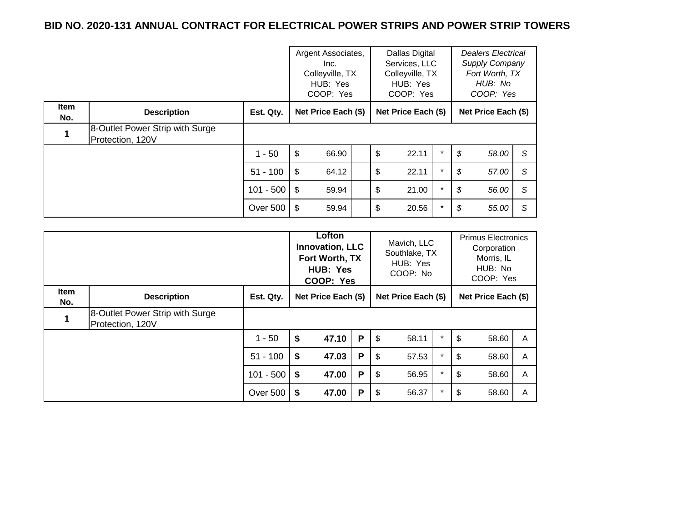|                    |                                                     |                | Argent Associates,<br>Inc.<br>Colleyville, TX<br>HUB: Yes<br>COOP: Yes |    | Dallas Digital<br>Services, LLC<br>Colleyville, TX<br>HUB: Yes<br>COOP: Yes |          | <b>Dealers Electrical</b><br>Supply Company<br>Fort Worth, TX<br>HUB: No<br>COOP: Yes |              |
|--------------------|-----------------------------------------------------|----------------|------------------------------------------------------------------------|----|-----------------------------------------------------------------------------|----------|---------------------------------------------------------------------------------------|--------------|
| <b>Item</b><br>No. | <b>Description</b>                                  | Est. Qty.      | Net Price Each (\$)                                                    |    | Net Price Each (\$)                                                         |          | Net Price Each (\$)                                                                   |              |
| 1                  | 8-Outlet Power Strip with Surge<br>Protection, 120V |                |                                                                        |    |                                                                             |          |                                                                                       |              |
|                    |                                                     | $1 - 50$       | \$<br>66.90                                                            | \$ | 22.11                                                                       | $\star$  | \$<br>58.00                                                                           | S            |
|                    |                                                     | $51 - 100$     | \$<br>64.12                                                            | \$ | 22.11                                                                       | $\star$  | \$<br>57.00                                                                           | S            |
|                    |                                                     | $101 - 500$ \$ | 59.94                                                                  | \$ | 21.00                                                                       | $\star$  | \$<br>56.00                                                                           | <sub>S</sub> |
|                    |                                                     | Over 500       | ∣\$<br>59.94                                                           | \$ | 20.56                                                                       | $^\star$ | \$<br>55.00                                                                           | S            |

|                    |                                                     | Lofton<br><b>Innovation, LLC</b><br>Fort Worth, TX<br>HUB: Yes<br>COOP: Yes |    | Mavich, LLC<br>Southlake, TX<br>HUB: Yes<br>COOP: No |   |    | <b>Primus Electronics</b><br>Corporation<br>Morris, IL<br>HUB: No<br>COOP: Yes |         |    |                     |   |
|--------------------|-----------------------------------------------------|-----------------------------------------------------------------------------|----|------------------------------------------------------|---|----|--------------------------------------------------------------------------------|---------|----|---------------------|---|
| <b>Item</b><br>No. | <b>Description</b>                                  | Est. Qty.                                                                   |    | Net Price Each (\$)                                  |   |    | Net Price Each (\$)                                                            |         |    | Net Price Each (\$) |   |
|                    | 8-Outlet Power Strip with Surge<br>Protection, 120V |                                                                             |    |                                                      |   |    |                                                                                |         |    |                     |   |
|                    |                                                     | $1 - 50$                                                                    | \$ | 47.10                                                | P | \$ | 58.11                                                                          | $\star$ | \$ | 58.60               | A |
|                    |                                                     | $51 - 100$                                                                  | \$ | 47.03                                                | P | \$ | 57.53                                                                          | $\star$ | \$ | 58.60               | A |
|                    |                                                     | $101 - 500$                                                                 | \$ | 47.00                                                | P | \$ | 56.95                                                                          | $\star$ | \$ | 58.60               | A |
|                    |                                                     | <b>Over 500</b>                                                             | \$ | 47.00                                                | P | \$ | 56.37                                                                          | $\star$ | \$ | 58.60               | A |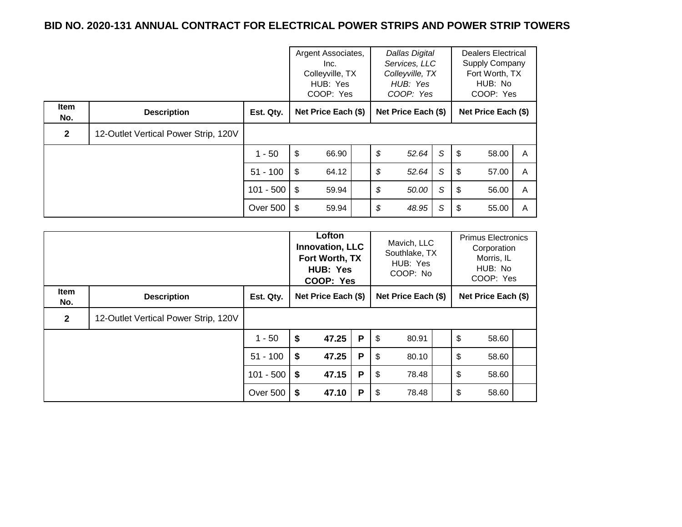|                    |                                      | Argent Associates,<br>Inc.<br>Colleyville, TX<br>HUB: Yes<br>COOP: Yes |                     | <b>Dallas Digital</b><br>Services, LLC<br>Colleyville, TX<br>HUB: Yes<br>COOP: Yes |    |                     | <b>Dealers Electrical</b><br>Supply Company<br>Fort Worth, TX<br>HUB: No<br>COOP: Yes |    |                     |   |
|--------------------|--------------------------------------|------------------------------------------------------------------------|---------------------|------------------------------------------------------------------------------------|----|---------------------|---------------------------------------------------------------------------------------|----|---------------------|---|
| <b>Item</b><br>No. | <b>Description</b>                   | Est. Qty.                                                              | Net Price Each (\$) |                                                                                    |    | Net Price Each (\$) |                                                                                       |    | Net Price Each (\$) |   |
| $\mathbf{2}$       | 12-Outlet Vertical Power Strip, 120V |                                                                        |                     |                                                                                    |    |                     |                                                                                       |    |                     |   |
|                    |                                      | $1 - 50$                                                               | \$<br>66.90         |                                                                                    | \$ | 52.64               | S                                                                                     | \$ | 58.00               | A |
|                    |                                      | $51 - 100$                                                             | \$<br>64.12         |                                                                                    | \$ | 52.64               | S                                                                                     | \$ | 57.00               | A |
|                    |                                      | $101 - 500$   \$                                                       | 59.94               |                                                                                    | \$ | 50.00               | S                                                                                     | \$ | 56.00               | A |
|                    |                                      | Over 500                                                               | ∣\$<br>59.94        |                                                                                    | \$ | 48.95               | S                                                                                     | S  | 55.00               | A |

|                    |                                      |             | Lofton<br><b>Innovation, LLC</b><br>Fort Worth, TX<br>HUB: Yes<br>COOP: Yes |                     | Mavich, LLC<br>Southlake, TX<br>HUB: Yes<br>COOP: No |                         | <b>Primus Electronics</b><br>Corporation<br>Morris, IL<br>HUB: No<br>COOP: Yes |    |                     |  |
|--------------------|--------------------------------------|-------------|-----------------------------------------------------------------------------|---------------------|------------------------------------------------------|-------------------------|--------------------------------------------------------------------------------|----|---------------------|--|
| <b>Item</b><br>No. | <b>Description</b>                   | Est. Qty.   |                                                                             | Net Price Each (\$) |                                                      |                         | Net Price Each (\$)                                                            |    | Net Price Each (\$) |  |
| $\overline{2}$     | 12-Outlet Vertical Power Strip, 120V |             |                                                                             |                     |                                                      |                         |                                                                                |    |                     |  |
|                    |                                      | $1 - 50$    | \$                                                                          | 47.25               | P                                                    | $\sqrt[6]{\frac{1}{2}}$ | 80.91                                                                          | \$ | 58.60               |  |
|                    |                                      | $51 - 100$  | \$                                                                          | 47.25               | P                                                    | \$                      | 80.10                                                                          | \$ | 58.60               |  |
|                    |                                      | $101 - 500$ | \$                                                                          | 47.15               | P                                                    | \$                      | 78.48                                                                          | \$ | 58.60               |  |
|                    |                                      | Over 500    | \$                                                                          | 47.10               | P                                                    | - \$                    | 78.48                                                                          | \$ | 58.60               |  |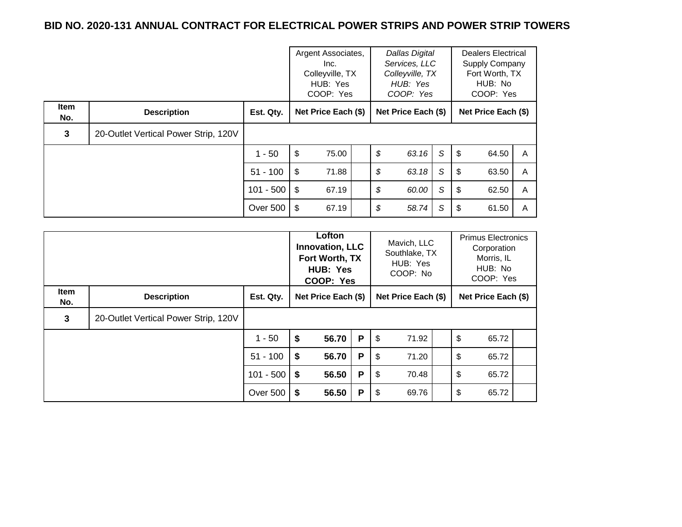|                    |                                      | Argent Associates,<br>Inc.<br>Colleyville, TX<br>HUB: Yes<br>COOP: Yes |                     | <b>Dallas Digital</b><br>Services, LLC<br>Colleyville, TX<br>HUB: Yes<br>COOP: Yes |    |                     | <b>Dealers Electrical</b><br>Supply Company<br>Fort Worth, TX<br>HUB: No<br>COOP: Yes |     |                     |   |
|--------------------|--------------------------------------|------------------------------------------------------------------------|---------------------|------------------------------------------------------------------------------------|----|---------------------|---------------------------------------------------------------------------------------|-----|---------------------|---|
| <b>Item</b><br>No. | <b>Description</b>                   | Est. Qty.                                                              | Net Price Each (\$) |                                                                                    |    | Net Price Each (\$) |                                                                                       |     | Net Price Each (\$) |   |
| 3                  | 20-Outlet Vertical Power Strip, 120V |                                                                        |                     |                                                                                    |    |                     |                                                                                       |     |                     |   |
|                    |                                      | $1 - 50$                                                               | \$<br>75.00         |                                                                                    | \$ | 63.16               | S                                                                                     | -\$ | 64.50               | A |
|                    |                                      | $51 - 100$                                                             | \$<br>71.88         |                                                                                    | \$ | 63.18               | S                                                                                     | \$. | 63.50               | A |
|                    |                                      | $101 - 500$   \$                                                       | 67.19               |                                                                                    | \$ | 60.00               | S                                                                                     | \$  | 62.50               | A |
|                    |                                      | Over 500                                                               | ∣\$<br>67.19        |                                                                                    | \$ | 58.74               | S                                                                                     | \$  | 61.50               | A |

|                    |                                      |             | Lofton<br><b>Innovation, LLC</b><br>Fort Worth, TX<br>HUB: Yes<br>COOP: Yes |                     | Mavich, LLC<br>Southlake, TX<br>HUB: Yes<br>COOP: No |                         | <b>Primus Electronics</b><br>Corporation<br>Morris, IL<br>HUB: No<br>COOP: Yes |    |                     |  |
|--------------------|--------------------------------------|-------------|-----------------------------------------------------------------------------|---------------------|------------------------------------------------------|-------------------------|--------------------------------------------------------------------------------|----|---------------------|--|
| <b>Item</b><br>No. | <b>Description</b>                   | Est. Qty.   |                                                                             | Net Price Each (\$) |                                                      |                         | Net Price Each (\$)                                                            |    | Net Price Each (\$) |  |
| 3                  | 20-Outlet Vertical Power Strip, 120V |             |                                                                             |                     |                                                      |                         |                                                                                |    |                     |  |
|                    |                                      | $1 - 50$    | \$                                                                          | 56.70               | P                                                    | $\sqrt[6]{\frac{1}{2}}$ | 71.92                                                                          | \$ | 65.72               |  |
|                    |                                      | $51 - 100$  | \$                                                                          | 56.70               | P                                                    | \$                      | 71.20                                                                          | \$ | 65.72               |  |
|                    |                                      | $101 - 500$ | \$                                                                          | 56.50               | P                                                    | \$                      | 70.48                                                                          | \$ | 65.72               |  |
|                    |                                      | Over 500    | \$                                                                          | 56.50               | P                                                    | -\$                     | 69.76                                                                          | \$ | 65.72               |  |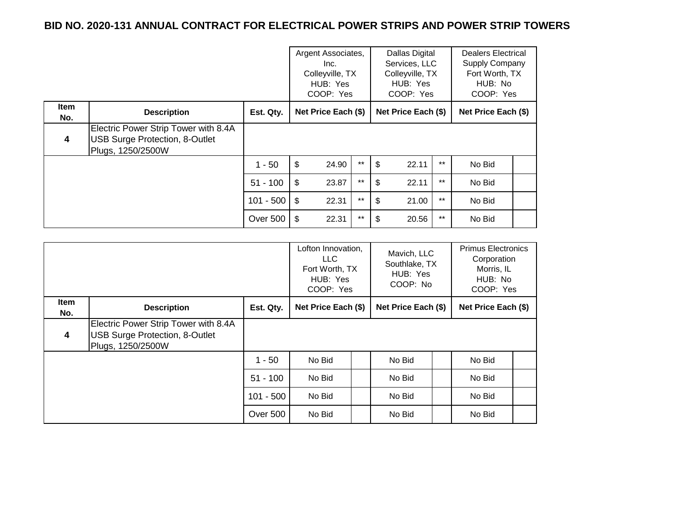|                    |                                                                                                    |                | Argent Associates,<br>Inc.<br>Colleyville, TX<br>HUB: Yes<br>COOP: Yes |       | Dallas Digital<br>Services, LLC<br>Colleyville, TX<br>HUB: Yes<br>COOP: Yes |                     |       | <b>Dealers Electrical</b><br>Supply Company<br>Fort Worth, TX<br>HUB: No<br>COOP: Yes |  |
|--------------------|----------------------------------------------------------------------------------------------------|----------------|------------------------------------------------------------------------|-------|-----------------------------------------------------------------------------|---------------------|-------|---------------------------------------------------------------------------------------|--|
| <b>Item</b><br>No. | <b>Description</b>                                                                                 | Est. Qty.      | Net Price Each (\$)                                                    |       |                                                                             | Net Price Each (\$) |       | Net Price Each (\$)                                                                   |  |
| 4                  | Electric Power Strip Tower with 8.4A<br><b>USB Surge Protection, 8-Outlet</b><br>Plugs, 1250/2500W |                |                                                                        |       |                                                                             |                     |       |                                                                                       |  |
|                    |                                                                                                    | $1 - 50$       | \$<br>24.90                                                            | $***$ | \$                                                                          | 22.11               | $***$ | No Bid                                                                                |  |
|                    |                                                                                                    | $51 - 100$     | 23.87<br>\$                                                            | $***$ | \$.                                                                         | 22.11               | $***$ | No Bid                                                                                |  |
|                    |                                                                                                    | $101 - 500$ \$ | 22.31                                                                  | $***$ | \$                                                                          | 21.00               | $***$ | No Bid                                                                                |  |
|                    |                                                                                                    | Over 500       | 22.31<br>- \$                                                          | $***$ | S                                                                           | 20.56               | $***$ | No Bid                                                                                |  |

|                    |                                                                                                    | Lofton Innovation,<br>LLC.<br>Fort Worth, TX<br>HUB: Yes<br>COOP: Yes |                                            | Mavich, LLC<br>Southlake, TX<br>HUB: Yes<br>COOP: No |                     | <b>Primus Electronics</b><br>Corporation<br>Morris, IL<br>HUB: No<br>COOP: Yes |        |  |
|--------------------|----------------------------------------------------------------------------------------------------|-----------------------------------------------------------------------|--------------------------------------------|------------------------------------------------------|---------------------|--------------------------------------------------------------------------------|--------|--|
| <b>Item</b><br>No. | <b>Description</b>                                                                                 | Est. Qty.                                                             | Net Price Each (\$)<br>Net Price Each (\$) |                                                      | Net Price Each (\$) |                                                                                |        |  |
| $\boldsymbol{4}$   | Electric Power Strip Tower with 8.4A<br><b>USB Surge Protection, 8-Outlet</b><br>Plugs, 1250/2500W |                                                                       |                                            |                                                      |                     |                                                                                |        |  |
|                    |                                                                                                    | $1 - 50$                                                              | No Bid                                     |                                                      | No Bid              |                                                                                | No Bid |  |
|                    |                                                                                                    | $51 - 100$                                                            | No Bid                                     |                                                      | No Bid              |                                                                                | No Bid |  |
|                    |                                                                                                    | $101 - 500$                                                           | No Bid                                     |                                                      | No Bid              |                                                                                | No Bid |  |
|                    |                                                                                                    | Over 500                                                              | No Bid                                     |                                                      | No Bid              |                                                                                | No Bid |  |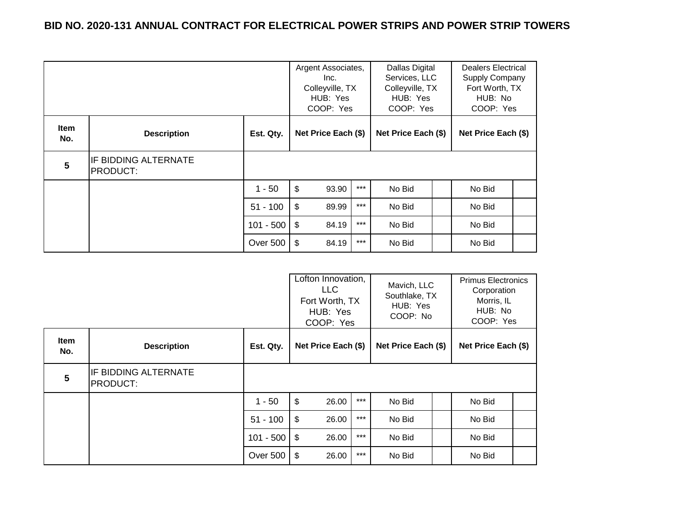|                    |                                         |             | Argent Associates,<br>Inc.<br>Colleyville, TX<br>HUB: Yes<br>COOP: Yes |       | Dallas Digital<br>Dealers Electrical<br>Services, LLC<br>Supply Company<br>Colleyville, TX<br>Fort Worth, TX<br>HUB: No<br>HUB: Yes<br>COOP: Yes<br>COOP: Yes |  |                     |  |
|--------------------|-----------------------------------------|-------------|------------------------------------------------------------------------|-------|---------------------------------------------------------------------------------------------------------------------------------------------------------------|--|---------------------|--|
| <b>Item</b><br>No. | <b>Description</b>                      | Est. Qty.   | Net Price Each (\$)                                                    |       | Net Price Each (\$)                                                                                                                                           |  | Net Price Each (\$) |  |
| 5                  | IF BIDDING ALTERNATE<br><b>PRODUCT:</b> |             |                                                                        |       |                                                                                                                                                               |  |                     |  |
|                    |                                         | $1 - 50$    | $\boldsymbol{\mathsf{S}}$<br>93.90                                     | $***$ | No Bid                                                                                                                                                        |  | No Bid              |  |
|                    |                                         | $51 - 100$  | \$<br>89.99                                                            | $***$ | No Bid                                                                                                                                                        |  | No Bid              |  |
|                    |                                         | $101 - 500$ | -\$<br>84.19                                                           | $***$ | No Bid                                                                                                                                                        |  | No Bid              |  |
|                    |                                         | Over 500    | \$<br>84.19                                                            | $***$ | No Bid                                                                                                                                                        |  | No Bid              |  |

|                         |                                                |             | Lofton Innovation,<br><b>LLC</b><br>Fort Worth, TX<br>HUB: Yes<br>COOP: Yes |       | Mavich, LLC<br>Southlake, TX<br>HUB: Yes<br>COOP: No |  | <b>Primus Electronics</b><br>Corporation<br>Morris, IL<br>HUB: No<br>COOP: Yes |  |
|-------------------------|------------------------------------------------|-------------|-----------------------------------------------------------------------------|-------|------------------------------------------------------|--|--------------------------------------------------------------------------------|--|
| Item<br>No.             | <b>Description</b>                             | Est. Qty.   | Net Price Each (\$)                                                         |       | Net Price Each (\$)                                  |  | Net Price Each (\$)                                                            |  |
| $\overline{\mathbf{5}}$ | <b>IF BIDDING ALTERNATE</b><br><b>PRODUCT:</b> |             |                                                                             |       |                                                      |  |                                                                                |  |
|                         |                                                | $1 - 50$    | $\frac{1}{2}$<br>26.00                                                      | $***$ | No Bid                                               |  | No Bid                                                                         |  |
|                         |                                                | $51 - 100$  | \$<br>26.00                                                                 | $***$ | No Bid                                               |  | No Bid                                                                         |  |
|                         |                                                | $101 - 500$ | \$<br>26.00                                                                 | $***$ | No Bid                                               |  | No Bid                                                                         |  |
|                         |                                                | Over 500    | \$<br>26.00                                                                 | $***$ | No Bid                                               |  | No Bid                                                                         |  |